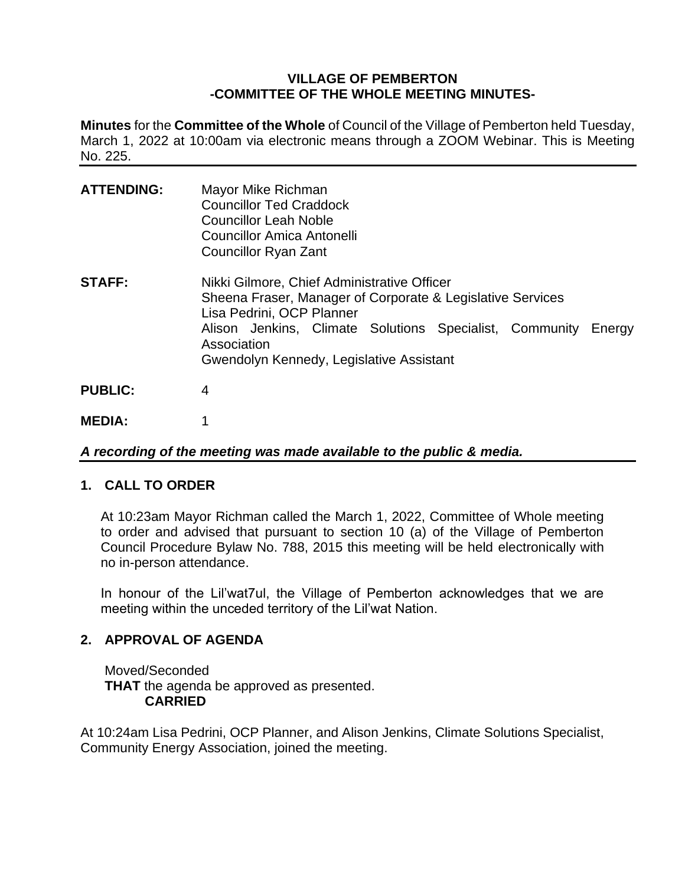#### **VILLAGE OF PEMBERTON -COMMITTEE OF THE WHOLE MEETING MINUTES-**

**Minutes** for the **Committee of the Whole** of Council of the Village of Pemberton held Tuesday, March 1, 2022 at 10:00am via electronic means through a ZOOM Webinar. This is Meeting No. 225.

| <b>ATTENDING:</b> | Mayor Mike Richman<br><b>Councillor Ted Craddock</b><br><b>Councillor Leah Noble</b><br>Councillor Amica Antonelli<br><b>Councillor Ryan Zant</b>                                                                                                                   |
|-------------------|---------------------------------------------------------------------------------------------------------------------------------------------------------------------------------------------------------------------------------------------------------------------|
| <b>STAFF:</b>     | Nikki Gilmore, Chief Administrative Officer<br>Sheena Fraser, Manager of Corporate & Legislative Services<br>Lisa Pedrini, OCP Planner<br>Alison Jenkins, Climate Solutions Specialist, Community Energy<br>Association<br>Gwendolyn Kennedy, Legislative Assistant |
| <b>PUBLIC:</b>    | 4                                                                                                                                                                                                                                                                   |
| <b>MEDIA:</b>     |                                                                                                                                                                                                                                                                     |

*A recording of the meeting was made available to the public & media.*

# **1. CALL TO ORDER**

At 10:23am Mayor Richman called the March 1, 2022, Committee of Whole meeting to order and advised that pursuant to section 10 (a) of the Village of Pemberton Council Procedure Bylaw No. 788, 2015 this meeting will be held electronically with no in-person attendance.

In honour of the Lil'wat7ul, the Village of Pemberton acknowledges that we are meeting within the unceded territory of the Lil'wat Nation.

# **2. APPROVAL OF AGENDA**

Moved/Seconded **THAT** the agenda be approved as presented. **CARRIED**

At 10:24am Lisa Pedrini, OCP Planner, and Alison Jenkins, Climate Solutions Specialist, Community Energy Association, joined the meeting.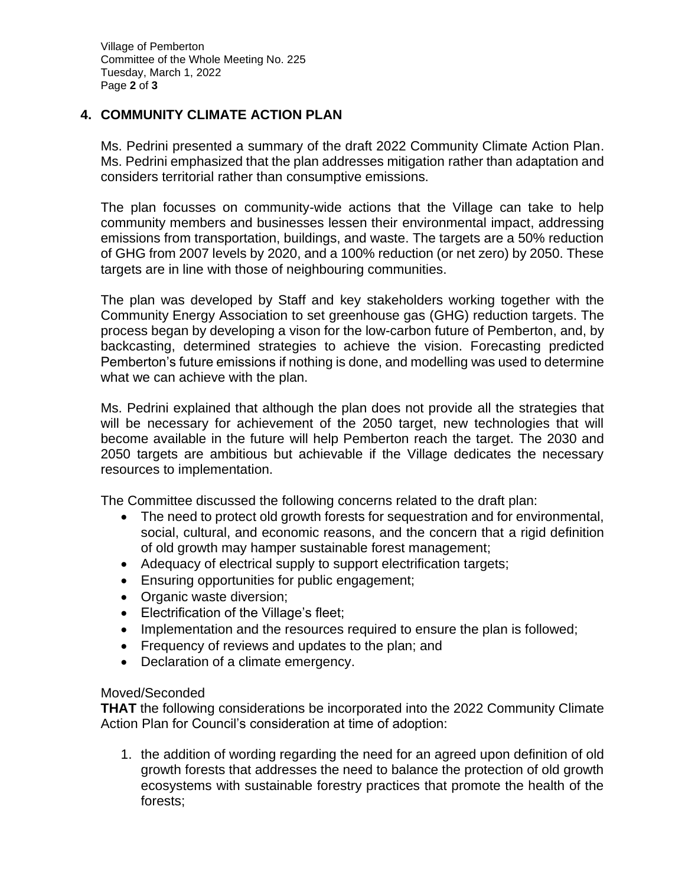Village of Pemberton Committee of the Whole Meeting No. 225 Tuesday, March 1, 2022 Page **2** of **3**

## **4. COMMUNITY CLIMATE ACTION PLAN**

Ms. Pedrini presented a summary of the draft 2022 Community Climate Action Plan. Ms. Pedrini emphasized that the plan addresses mitigation rather than adaptation and considers territorial rather than consumptive emissions.

The plan focusses on community-wide actions that the Village can take to help community members and businesses lessen their environmental impact, addressing emissions from transportation, buildings, and waste. The targets are a 50% reduction of GHG from 2007 levels by 2020, and a 100% reduction (or net zero) by 2050. These targets are in line with those of neighbouring communities.

The plan was developed by Staff and key stakeholders working together with the Community Energy Association to set greenhouse gas (GHG) reduction targets. The process began by developing a vison for the low-carbon future of Pemberton, and, by backcasting, determined strategies to achieve the vision. Forecasting predicted Pemberton's future emissions if nothing is done, and modelling was used to determine what we can achieve with the plan.

Ms. Pedrini explained that although the plan does not provide all the strategies that will be necessary for achievement of the 2050 target, new technologies that will become available in the future will help Pemberton reach the target. The 2030 and 2050 targets are ambitious but achievable if the Village dedicates the necessary resources to implementation.

The Committee discussed the following concerns related to the draft plan:

- The need to protect old growth forests for sequestration and for environmental, social, cultural, and economic reasons, and the concern that a rigid definition of old growth may hamper sustainable forest management;
- Adequacy of electrical supply to support electrification targets;
- Ensuring opportunities for public engagement;
- Organic waste diversion;
- Electrification of the Village's fleet;
- Implementation and the resources required to ensure the plan is followed;
- Frequency of reviews and updates to the plan; and
- Declaration of a climate emergency.

#### Moved/Seconded

**THAT** the following considerations be incorporated into the 2022 Community Climate Action Plan for Council's consideration at time of adoption:

1. the addition of wording regarding the need for an agreed upon definition of old growth forests that addresses the need to balance the protection of old growth ecosystems with sustainable forestry practices that promote the health of the forests;